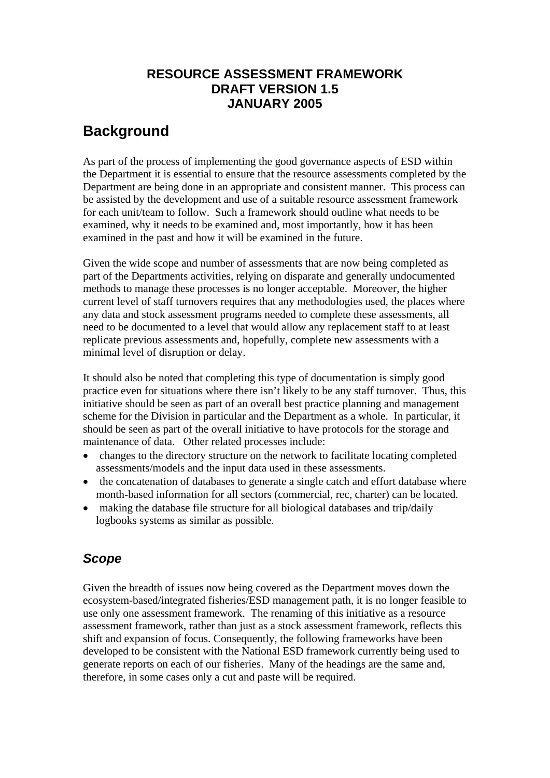# **RESOURCE ASSESSMENT FRAMEWORK DRAFT VERSION 1.5 JANUARY 2005**

# **Background**

As part of the process of implementing the good governance aspects of ESD within the Department it is essential to ensure that the resource assessments completed by the Department are being done in an appropriate and consistent manner. This process can be assisted by the development and use of a suitable resource assessment framework for each unit/team to follow. Such a framework should outline what needs to be examined, why it needs to be examined and, most importantly, how it has been examined in the past and how it will be examined in the future.

Given the wide scope and number of assessments that are now being completed as part of the Departments activities, relying on disparate and generally undocumented methods to manage these processes is no longer acceptable. Moreover, the higher current level of staff turnovers requires that any methodologies used, the places where any data and stock assessment programs needed to complete these assessments, all need to be documented to a level that would allow any replacement staff to at least replicate previous assessments and, hopefully, complete new assessments with a minimal level of disruption or delay.

It should also be noted that completing this type of documentation is simply good practice even for situations where there isn't likely to be any staff turnover. Thus, this initiative should be seen as part of an overall best practice planning and management scheme for the Division in particular and the Department as a whole. In particular, it should be seen as part of the overall initiative to have protocols for the storage and maintenance of data. Other related processes include:

- changes to the directory structure on the network to facilitate locating completed assessments/models and the input data used in these assessments.
- the concatenation of databases to generate a single catch and effort database where month-based information for all sectors (commercial, rec, charter) can be located.
- making the database file structure for all biological databases and trip/daily logbooks systems as similar as possible.

# *Scope*

Given the breadth of issues now being covered as the Department moves down the ecosystem-based/integrated fisheries/ESD management path, it is no longer feasible to use only one assessment framework. The renaming of this initiative as a resource assessment framework, rather than just as a stock assessment framework, reflects this shift and expansion of focus. Consequently, the following frameworks have been developed to be consistent with the National ESD framework currently being used to generate reports on each of our fisheries. Many of the headings are the same and, therefore, in some cases only a cut and paste will be required.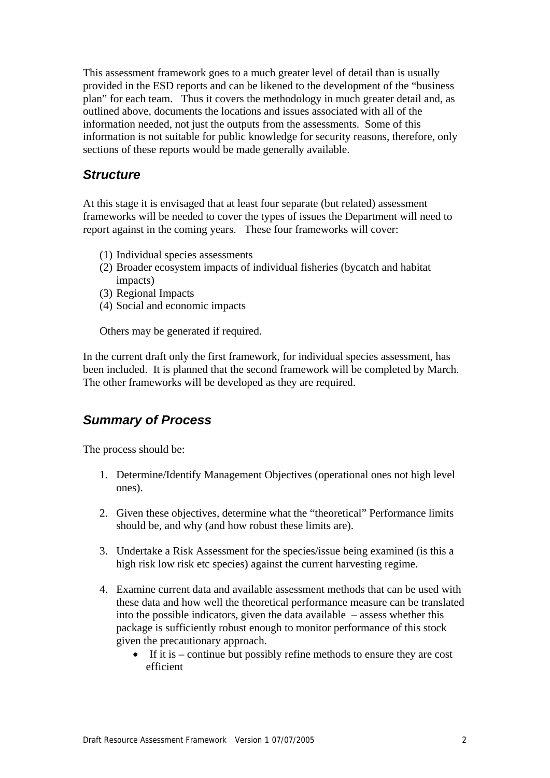This assessment framework goes to a much greater level of detail than is usually provided in the ESD reports and can be likened to the development of the "business plan" for each team. Thus it covers the methodology in much greater detail and, as outlined above, documents the locations and issues associated with all of the information needed, not just the outputs from the assessments. Some of this information is not suitable for public knowledge for security reasons, therefore, only sections of these reports would be made generally available.

### *Structure*

At this stage it is envisaged that at least four separate (but related) assessment frameworks will be needed to cover the types of issues the Department will need to report against in the coming years. These four frameworks will cover:

- (1) Individual species assessments
- (2) Broader ecosystem impacts of individual fisheries (bycatch and habitat impacts)
- (3) Regional Impacts
- (4) Social and economic impacts

Others may be generated if required.

In the current draft only the first framework, for individual species assessment, has been included. It is planned that the second framework will be completed by March. The other frameworks will be developed as they are required.

## *Summary of Process*

The process should be:

- 1. Determine/Identify Management Objectives (operational ones not high level ones).
- 2. Given these objectives, determine what the "theoretical" Performance limits should be, and why (and how robust these limits are).
- 3. Undertake a Risk Assessment for the species/issue being examined (is this a high risk low risk etc species) against the current harvesting regime.
- 4. Examine current data and available assessment methods that can be used with these data and how well the theoretical performance measure can be translated into the possible indicators, given the data available – assess whether this package is sufficiently robust enough to monitor performance of this stock given the precautionary approach.
	- If it is continue but possibly refine methods to ensure they are cost efficient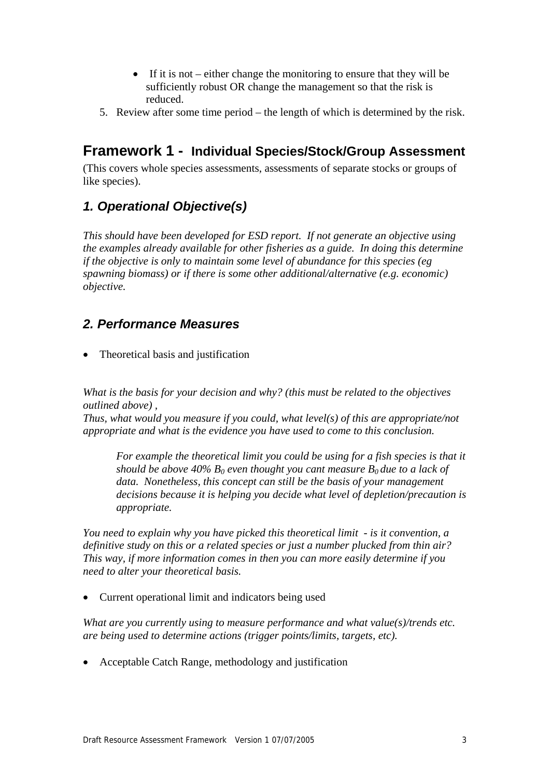- If it is not either change the monitoring to ensure that they will be sufficiently robust OR change the management so that the risk is reduced.
- 5. Review after some time period the length of which is determined by the risk.

# **Framework 1 - Individual Species/Stock/Group Assessment**

(This covers whole species assessments, assessments of separate stocks or groups of like species).

# *1. Operational Objective(s)*

*This should have been developed for ESD report. If not generate an objective using the examples already available for other fisheries as a guide. In doing this determine if the objective is only to maintain some level of abundance for this species (eg spawning biomass) or if there is some other additional/alternative (e.g. economic) objective.* 

# *2. Performance Measures*

• Theoretical basis and justification

*What is the basis for your decision and why? (this must be related to the objectives outlined above) ,* 

*Thus, what would you measure if you could, what level(s) of this are appropriate/not appropriate and what is the evidence you have used to come to this conclusion.* 

For example the theoretical limit you could be using for a fish species is that it *should be above 40%*  $B_0$  *even thought you cant measure*  $B_0$  *due to a lack of data. Nonetheless, this concept can still be the basis of your management decisions because it is helping you decide what level of depletion/precaution is appropriate.* 

*You need to explain why you have picked this theoretical limit - is it convention, a definitive study on this or a related species or just a number plucked from thin air? This way, if more information comes in then you can more easily determine if you need to alter your theoretical basis.* 

• Current operational limit and indicators being used

*What are you currently using to measure performance and what value(s)/trends etc. are being used to determine actions (trigger points/limits, targets, etc).* 

• Acceptable Catch Range, methodology and justification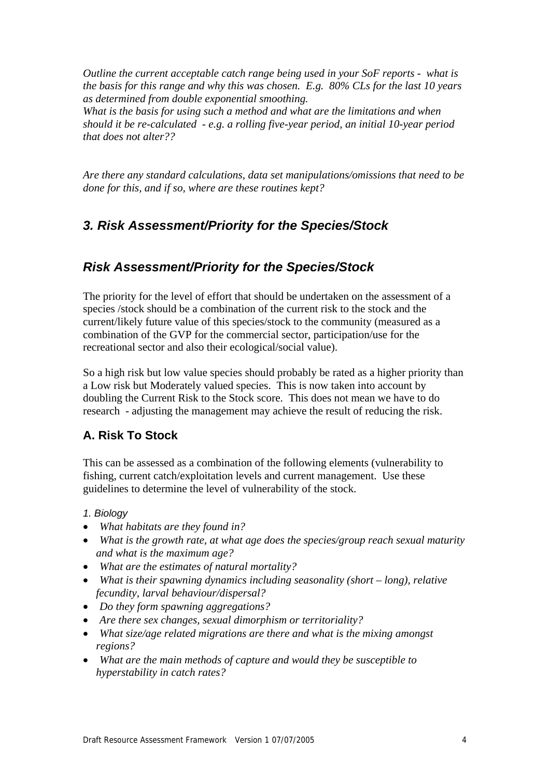*Outline the current acceptable catch range being used in your SoF reports - what is the basis for this range and why this was chosen. E.g. 80% CLs for the last 10 years as determined from double exponential smoothing.* 

*What is the basis for using such a method and what are the limitations and when should it be re-calculated - e.g. a rolling five-year period, an initial 10-year period that does not alter??* 

*Are there any standard calculations, data set manipulations/omissions that need to be done for this, and if so, where are these routines kept?* 

## *3. Risk Assessment/Priority for the Species/Stock*

## *Risk Assessment/Priority for the Species/Stock*

The priority for the level of effort that should be undertaken on the assessment of a species /stock should be a combination of the current risk to the stock and the current/likely future value of this species/stock to the community (measured as a combination of the GVP for the commercial sector, participation/use for the recreational sector and also their ecological/social value).

So a high risk but low value species should probably be rated as a higher priority than a Low risk but Moderately valued species. This is now taken into account by doubling the Current Risk to the Stock score. This does not mean we have to do research - adjusting the management may achieve the result of reducing the risk.

### **A. Risk To Stock**

This can be assessed as a combination of the following elements (vulnerability to fishing, current catch/exploitation levels and current management. Use these guidelines to determine the level of vulnerability of the stock.

#### *1. Biology*

- *What habitats are they found in?*
- *What is the growth rate, at what age does the species/group reach sexual maturity and what is the maximum age?*
- *What are the estimates of natural mortality?*
- *What is their spawning dynamics including seasonality (short long), relative fecundity, larval behaviour/dispersal?*
- *Do they form spawning aggregations?*
- *Are there sex changes, sexual dimorphism or territoriality?*
- *What size/age related migrations are there and what is the mixing amongst regions?*
- *What are the main methods of capture and would they be susceptible to hyperstability in catch rates?*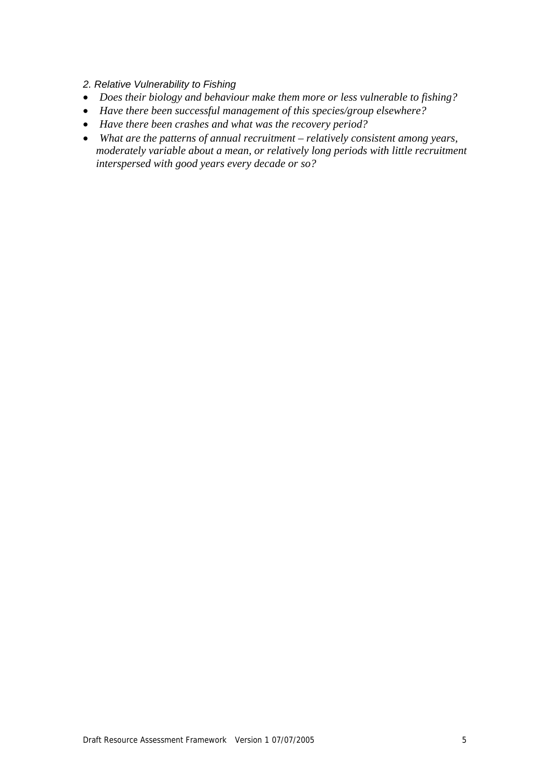- *2. Relative Vulnerability to Fishing*
- *Does their biology and behaviour make them more or less vulnerable to fishing?*
- *Have there been successful management of this species/group elsewhere?*
- *Have there been crashes and what was the recovery period?*
- *What are the patterns of annual recruitment relatively consistent among years, moderately variable about a mean, or relatively long periods with little recruitment interspersed with good years every decade or so?*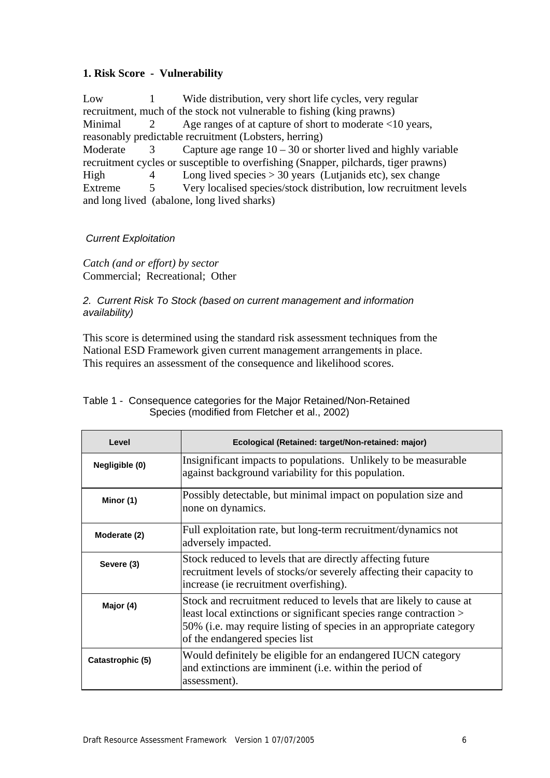#### **1. Risk Score - Vulnerability**

Low 1 Wide distribution, very short life cycles, very regular recruitment, much of the stock not vulnerable to fishing (king prawns) Minimal 2 Age ranges of at capture of short to moderate <10 years, reasonably predictable recruitment (Lobsters, herring) Moderate 3 Capture age range  $10 - 30$  or shorter lived and highly variable recruitment cycles or susceptible to overfishing (Snapper, pilchards, tiger prawns) High 4 Long lived species > 30 years (Lutjanids etc), sex change Extreme 5 Very localised species/stock distribution, low recruitment levels and long lived (abalone, long lived sharks)

#### *Current Exploitation*

*Catch (and or effort) by sector*  Commercial; Recreational; Other

#### *2. Current Risk To Stock (based on current management and information availability)*

This score is determined using the standard risk assessment techniques from the National ESD Framework given current management arrangements in place. This requires an assessment of the consequence and likelihood scores.

| Level            | Ecological (Retained: target/Non-retained: major)                                                                                                                                                                                                  |  |  |  |  |
|------------------|----------------------------------------------------------------------------------------------------------------------------------------------------------------------------------------------------------------------------------------------------|--|--|--|--|
| Negligible (0)   | Insignificant impacts to populations. Unlikely to be measurable<br>against background variability for this population.                                                                                                                             |  |  |  |  |
| Minor (1)        | Possibly detectable, but minimal impact on population size and<br>none on dynamics.                                                                                                                                                                |  |  |  |  |
| Moderate (2)     | Full exploitation rate, but long-term recruitment/dynamics not<br>adversely impacted.                                                                                                                                                              |  |  |  |  |
| Severe (3)       | Stock reduced to levels that are directly affecting future<br>recruitment levels of stocks/or severely affecting their capacity to<br>increase (ie recruitment overfishing).                                                                       |  |  |  |  |
| Major (4)        | Stock and recruitment reduced to levels that are likely to cause at<br>least local extinctions or significant species range contraction ><br>50% (i.e. may require listing of species in an appropriate category<br>of the endangered species list |  |  |  |  |
| Catastrophic (5) | Would definitely be eligible for an endangered IUCN category<br>and extinctions are imminent (i.e. within the period of<br>assessment).                                                                                                            |  |  |  |  |

#### Table 1 - Consequence categories for the Major Retained/Non-Retained Species (modified from Fletcher et al., 2002)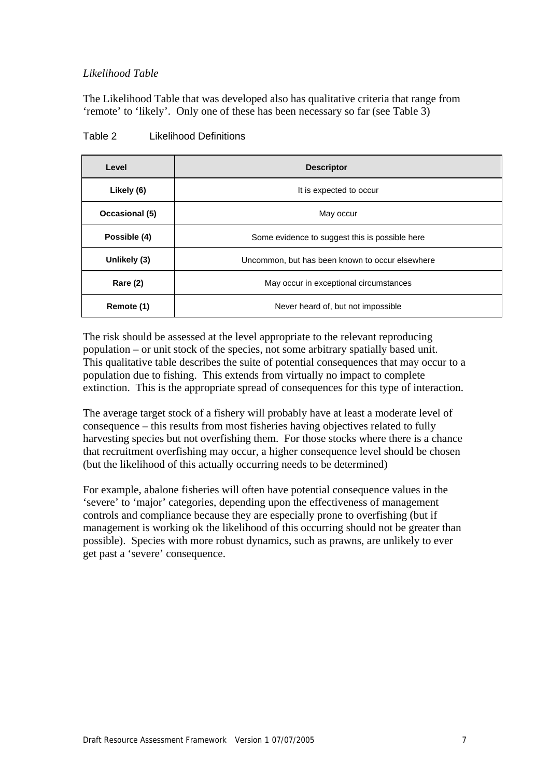#### *Likelihood Table*

The Likelihood Table that was developed also has qualitative criteria that range from 'remote' to 'likely'. Only one of these has been necessary so far (see Table 3)

| Level          | <b>Descriptor</b>                               |  |  |  |  |
|----------------|-------------------------------------------------|--|--|--|--|
| Likely (6)     | It is expected to occur                         |  |  |  |  |
| Occasional (5) | May occur                                       |  |  |  |  |
| Possible (4)   | Some evidence to suggest this is possible here  |  |  |  |  |
| Unlikely (3)   | Uncommon, but has been known to occur elsewhere |  |  |  |  |
| Rare (2)       | May occur in exceptional circumstances          |  |  |  |  |
| Remote (1)     | Never heard of, but not impossible              |  |  |  |  |

Table 2 Likelihood Definitions

The risk should be assessed at the level appropriate to the relevant reproducing population – or unit stock of the species, not some arbitrary spatially based unit. This qualitative table describes the suite of potential consequences that may occur to a population due to fishing. This extends from virtually no impact to complete extinction. This is the appropriate spread of consequences for this type of interaction.

The average target stock of a fishery will probably have at least a moderate level of consequence – this results from most fisheries having objectives related to fully harvesting species but not overfishing them. For those stocks where there is a chance that recruitment overfishing may occur, a higher consequence level should be chosen (but the likelihood of this actually occurring needs to be determined)

For example, abalone fisheries will often have potential consequence values in the 'severe' to 'major' categories, depending upon the effectiveness of management controls and compliance because they are especially prone to overfishing (but if management is working ok the likelihood of this occurring should not be greater than possible). Species with more robust dynamics, such as prawns, are unlikely to ever get past a 'severe' consequence.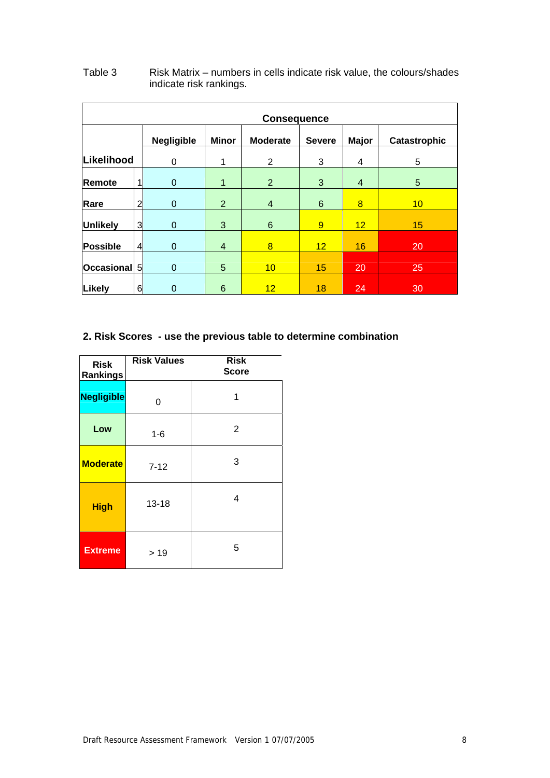| <b>Consequence</b> |                |                                   |                |                 |               |                |              |  |
|--------------------|----------------|-----------------------------------|----------------|-----------------|---------------|----------------|--------------|--|
|                    |                | <b>Negligible</b><br><b>Minor</b> |                | <b>Moderate</b> | <b>Severe</b> | <b>Major</b>   | Catastrophic |  |
| Likelihood         |                | 0                                 | 1              | $\overline{2}$  | 3             | 4              | 5            |  |
| Remote             |                | $\mathbf 0$                       | $\mathbf{1}$   | $\overline{2}$  | 3             | $\overline{4}$ | 5            |  |
| Rare               | $\overline{2}$ | $\mathbf 0$                       | 2              | $\overline{4}$  | 6             | 8              | 10           |  |
| <b>Unlikely</b>    | 3              | $\mathbf 0$                       | 3              | 6               | 9             | 12             | 15           |  |
| <b>Possible</b>    | $\overline{4}$ | $\mathbf 0$                       | $\overline{4}$ | 8               | 12            | 16             | 20           |  |
| Occasional 5       |                | $\boldsymbol{0}$                  | 5              | 10              | 15            | 20             | 25           |  |
| Likely             | 6              | 0                                 | 6              | 12              | 18            | 24             | 30           |  |

#### Table 3 Risk Matrix – numbers in cells indicate risk value, the colours/shades indicate risk rankings.

### **2. Risk Scores - use the previous table to determine combination**

| <b>Risk</b><br>Rankings | <b>Risk Values</b> | <b>Risk</b><br><b>Score</b> |  |  |
|-------------------------|--------------------|-----------------------------|--|--|
| <b>Negligible</b>       | 0                  |                             |  |  |
| Low                     | $1 - 6$            | 2                           |  |  |
| <b>Moderate</b>         | $7 - 12$           | 3                           |  |  |
| <b>High</b>             | $13 - 18$          | 4                           |  |  |
| <b>Extreme</b>          | > 19               | 5                           |  |  |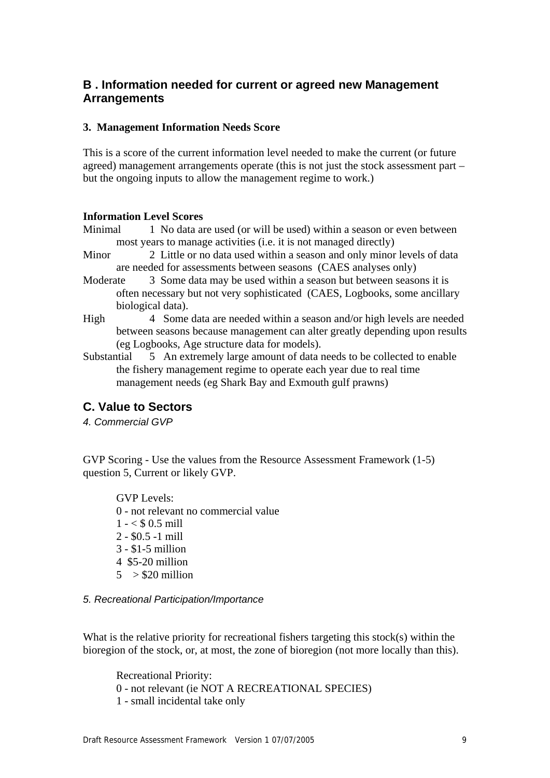### **B . Information needed for current or agreed new Management Arrangements**

#### **3. Management Information Needs Score**

This is a score of the current information level needed to make the current (or future agreed) management arrangements operate (this is not just the stock assessment part – but the ongoing inputs to allow the management regime to work.)

#### **Information Level Scores**

Minimal 1 No data are used (or will be used) within a season or even between most years to manage activities (i.e. it is not managed directly)

- Minor 2 Little or no data used within a season and only minor levels of data are needed for assessments between seasons (CAES analyses only)
- Moderate 3 Some data may be used within a season but between seasons it is often necessary but not very sophisticated (CAES, Logbooks, some ancillary biological data).
- High 4 Some data are needed within a season and/or high levels are needed between seasons because management can alter greatly depending upon results (eg Logbooks, Age structure data for models).
- Substantial 5 An extremely large amount of data needs to be collected to enable the fishery management regime to operate each year due to real time management needs (eg Shark Bay and Exmouth gulf prawns)

### **C. Value to Sectors**

*4. Commercial GVP* 

GVP Scoring - Use the values from the Resource Assessment Framework (1-5) question 5, Current or likely GVP.

GVP Levels: 0 - not relevant no commercial value  $1 - < $ 0.5$  mill 2 - \$0.5 -1 mill 3 - \$1-5 million 4 \$5-20 million  $5 > $20$  million

#### *5. Recreational Participation/Importance*

What is the relative priority for recreational fishers targeting this stock(s) within the bioregion of the stock, or, at most, the zone of bioregion (not more locally than this).

Recreational Priority: 0 - not relevant (ie NOT A RECREATIONAL SPECIES) 1 - small incidental take only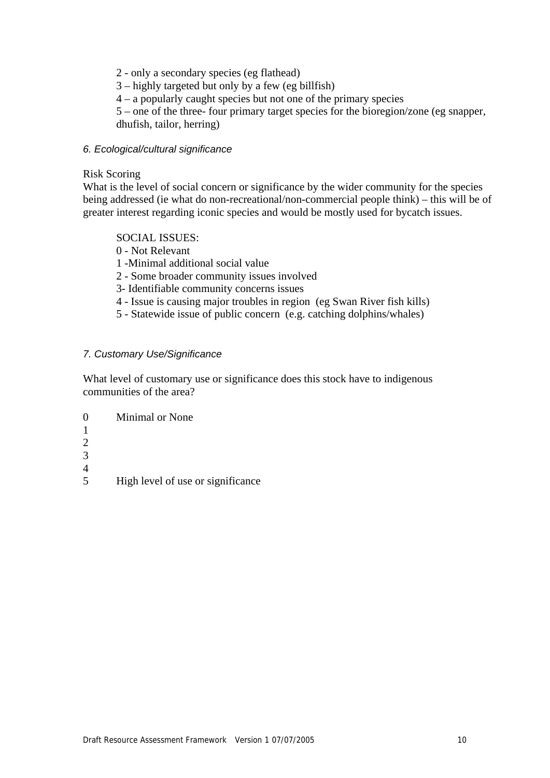- 2 only a secondary species (eg flathead)
- 3 highly targeted but only by a few (eg billfish)
- 4 a popularly caught species but not one of the primary species

5 – one of the three- four primary target species for the bioregion/zone (eg snapper, dhufish, tailor, herring)

#### *6. Ecological/cultural significance*

#### Risk Scoring

What is the level of social concern or significance by the wider community for the species being addressed (ie what do non-recreational/non-commercial people think) – this will be of greater interest regarding iconic species and would be mostly used for bycatch issues.

#### SOCIAL ISSUES:

- 0 Not Relevant
- 1 -Minimal additional social value
- 2 Some broader community issues involved
- 3- Identifiable community concerns issues
- 4 Issue is causing major troubles in region (eg Swan River fish kills)
- 5 Statewide issue of public concern (e.g. catching dolphins/whales)

#### *7. Customary Use/Significance*

What level of customary use or significance does this stock have to indigenous communities of the area?

0 Minimal or None 1 2 3 4 5 High level of use or significance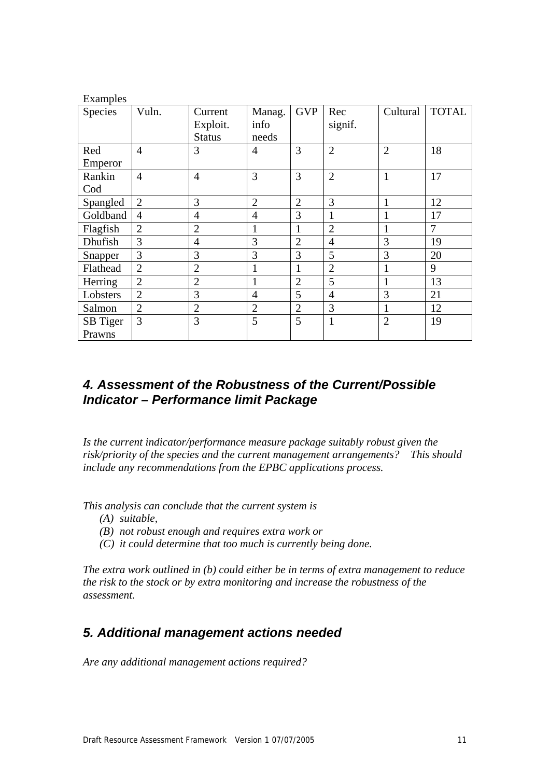| Examples |                |                |                |                |                |                |              |  |
|----------|----------------|----------------|----------------|----------------|----------------|----------------|--------------|--|
| Species  | Vuln.          | Current        | Manag.         | <b>GVP</b>     | Rec            | Cultural       | <b>TOTAL</b> |  |
|          |                | Exploit.       | info           |                | signif.        |                |              |  |
|          |                | <b>Status</b>  | needs          |                |                |                |              |  |
| Red      | $\overline{4}$ | 3              | $\overline{4}$ | 3              | $\overline{2}$ | $\overline{2}$ | 18           |  |
| Emperor  |                |                |                |                |                |                |              |  |
| Rankin   | $\overline{4}$ | $\overline{4}$ | 3              | 3              | $\overline{2}$ | $\mathbf{1}$   | 17           |  |
| Cod      |                |                |                |                |                |                |              |  |
| Spangled | $\overline{2}$ | 3              | $\overline{2}$ | $\overline{2}$ | 3              | 1              | 12           |  |
| Goldband | $\overline{4}$ | $\overline{4}$ | $\overline{4}$ | 3              | 1              | $\mathbf{1}$   | 17           |  |
| Flagfish | $\overline{2}$ | $\overline{2}$ | 1              | 1              | $\overline{2}$ | 1              | 7            |  |
| Dhufish  | 3              | $\overline{4}$ | 3              | $\overline{2}$ | $\overline{4}$ | 3              | 19           |  |
| Snapper  | 3              | 3              | 3              | 3              | 5              | 3              | 20           |  |
| Flathead | $\overline{2}$ | $\overline{2}$ | 1              | 1              | $\overline{2}$ | 1              | 9            |  |
| Herring  | $\overline{2}$ | $\overline{2}$ | $\mathbf{1}$   | $\overline{2}$ | 5              | 1              | 13           |  |
| Lobsters | $\overline{2}$ | 3              | $\overline{4}$ | 5              | $\overline{4}$ | 3              | 21           |  |
| Salmon   | $\overline{2}$ | $\overline{2}$ | $\overline{2}$ | $\overline{2}$ | 3              | $\mathbf{1}$   | 12           |  |
| SB Tiger | 3              | 3              | 5              | 5              | $\mathbf{1}$   | $\overline{2}$ | 19           |  |
| Prawns   |                |                |                |                |                |                |              |  |

## *4. Assessment of the Robustness of the Current/Possible Indicator – Performance limit Package*

*Is the current indicator/performance measure package suitably robust given the risk/priority of the species and the current management arrangements? This should include any recommendations from the EPBC applications process.* 

*This analysis can conclude that the current system is* 

- *(A) suitable,*
- *(B) not robust enough and requires extra work or*
- *(C) it could determine that too much is currently being done.*

*The extra work outlined in (b) could either be in terms of extra management to reduce the risk to the stock or by extra monitoring and increase the robustness of the assessment.* 

# *5. Additional management actions needed*

*Are any additional management actions required?*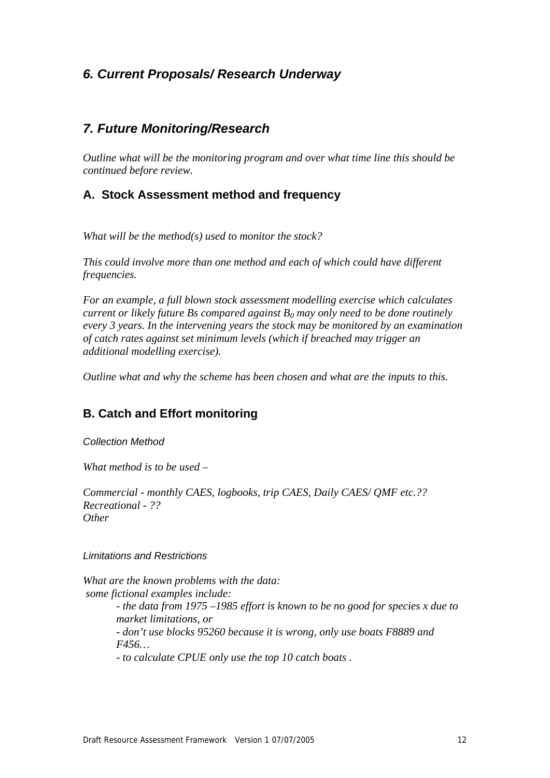## *6. Current Proposals/ Research Underway*

### *7. Future Monitoring/Research*

*Outline what will be the monitoring program and over what time line this should be continued before review.* 

### **A. Stock Assessment method and frequency**

*What will be the method(s) used to monitor the stock?* 

*This could involve more than one method and each of which could have different frequencies.* 

*For an example, a full blown stock assessment modelling exercise which calculates current or likely future Bs compared against*  $B_0$  *may only need to be done routinely every 3 years. In the intervening years the stock may be monitored by an examination of catch rates against set minimum levels (which if breached may trigger an additional modelling exercise).* 

*Outline what and why the scheme has been chosen and what are the inputs to this.* 

### **B. Catch and Effort monitoring**

*Collection Method* 

*What method is to be used –* 

*Commercial - monthly CAES, logbooks, trip CAES, Daily CAES/ QMF etc.?? Recreational - ?? Other* 

*Limitations and Restrictions* 

*What are the known problems with the data: some fictional examples include: - the data from 1975 –1985 effort is known to be no good for species x due to market limitations, or - don't use blocks 95260 because it is wrong, only use boats F8889 and F456… - to calculate CPUE only use the top 10 catch boats .*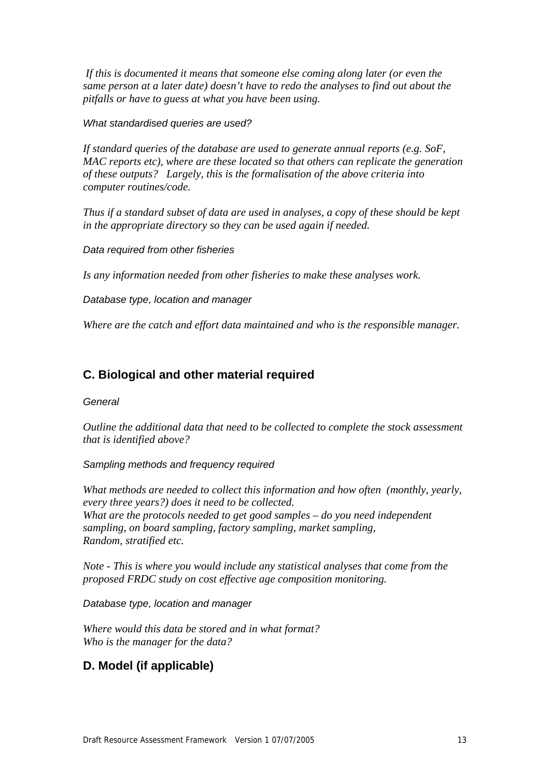*If this is documented it means that someone else coming along later (or even the same person at a later date) doesn't have to redo the analyses to find out about the pitfalls or have to guess at what you have been using.* 

*What standardised queries are used?* 

*If standard queries of the database are used to generate annual reports (e.g. SoF, MAC reports etc), where are these located so that others can replicate the generation of these outputs? Largely, this is the formalisation of the above criteria into computer routines/code.* 

*Thus if a standard subset of data are used in analyses, a copy of these should be kept in the appropriate directory so they can be used again if needed.* 

*Data required from other fisheries* 

*Is any information needed from other fisheries to make these analyses work.* 

*Database type, location and manager* 

*Where are the catch and effort data maintained and who is the responsible manager.* 

### **C. Biological and other material required**

*General* 

*Outline the additional data that need to be collected to complete the stock assessment that is identified above?* 

*Sampling methods and frequency required* 

*What methods are needed to collect this information and how often (monthly, yearly, every three years?) does it need to be collected. What are the protocols needed to get good samples – do you need independent sampling, on board sampling, factory sampling, market sampling, Random, stratified etc.* 

*Note - This is where you would include any statistical analyses that come from the proposed FRDC study on cost effective age composition monitoring.* 

*Database type, location and manager* 

*Where would this data be stored and in what format? Who is the manager for the data?* 

#### **D. Model (if applicable)**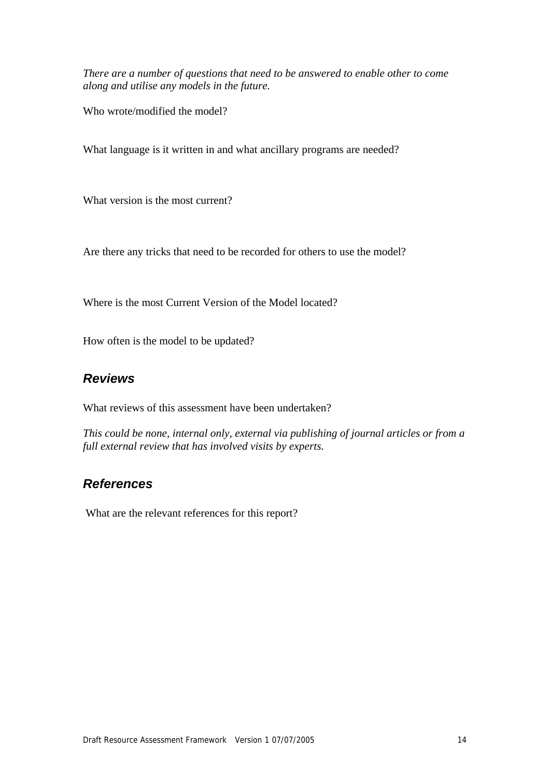*There are a number of questions that need to be answered to enable other to come along and utilise any models in the future.* 

Who wrote/modified the model?

What language is it written in and what ancillary programs are needed?

What version is the most current?

Are there any tricks that need to be recorded for others to use the model?

Where is the most Current Version of the Model located?

How often is the model to be updated?

### *Reviews*

What reviews of this assessment have been undertaken?

*This could be none, internal only, external via publishing of journal articles or from a full external review that has involved visits by experts.* 

## *References*

What are the relevant references for this report?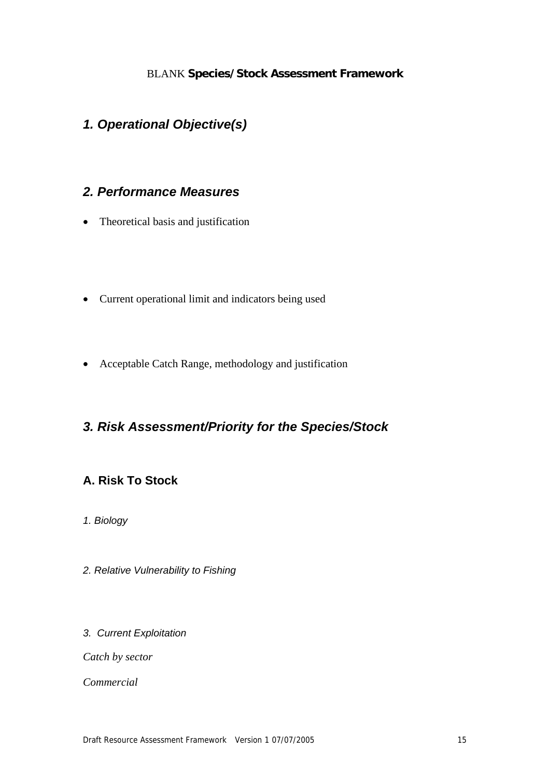### BLANK **Species/Stock Assessment Framework**

## *1. Operational Objective(s)*

# *2. Performance Measures*

- Theoretical basis and justification
- Current operational limit and indicators being used
- Acceptable Catch Range, methodology and justification

## *3. Risk Assessment/Priority for the Species/Stock*

### **A. Risk To Stock**

- *1. Biology*
- *2. Relative Vulnerability to Fishing*
- *3. Current Exploitation*

*Catch by sector* 

*Commercial*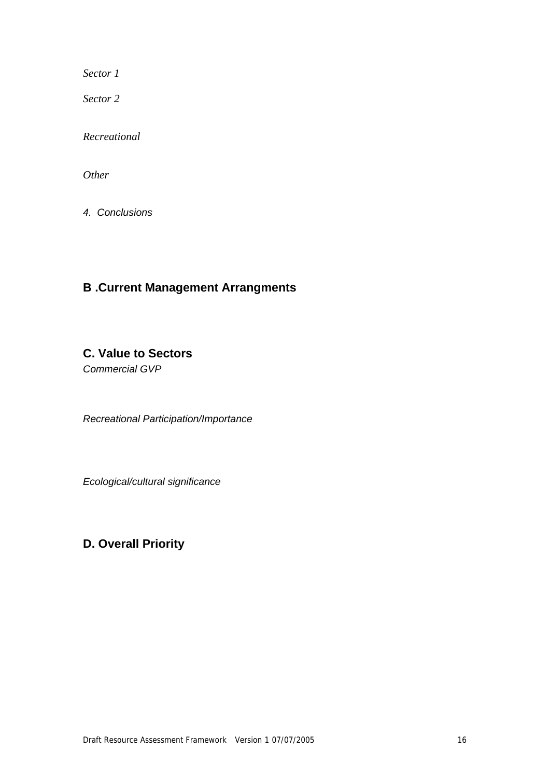*Sector 1* 

*Sector 2* 

*Recreational* 

*Other* 

*4. Conclusions* 

## **B .Current Management Arrangments**

## **C. Value to Sectors**

*Commercial GVP* 

*Recreational Participation/Importance* 

*Ecological/cultural significance* 

# **D. Overall Priority**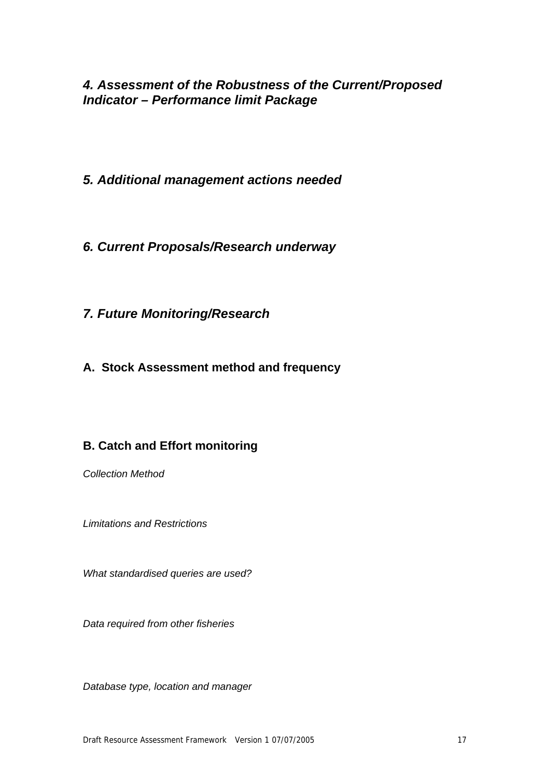# *4. Assessment of the Robustness of the Current/Proposed Indicator – Performance limit Package*

- *5. Additional management actions needed*
- *6. Current Proposals/Research underway*
- *7. Future Monitoring/Research*
- **A. Stock Assessment method and frequency**

# **B. Catch and Effort monitoring**

*Collection Method* 

*Limitations and Restrictions* 

*What standardised queries are used?* 

*Data required from other fisheries* 

*Database type, location and manager*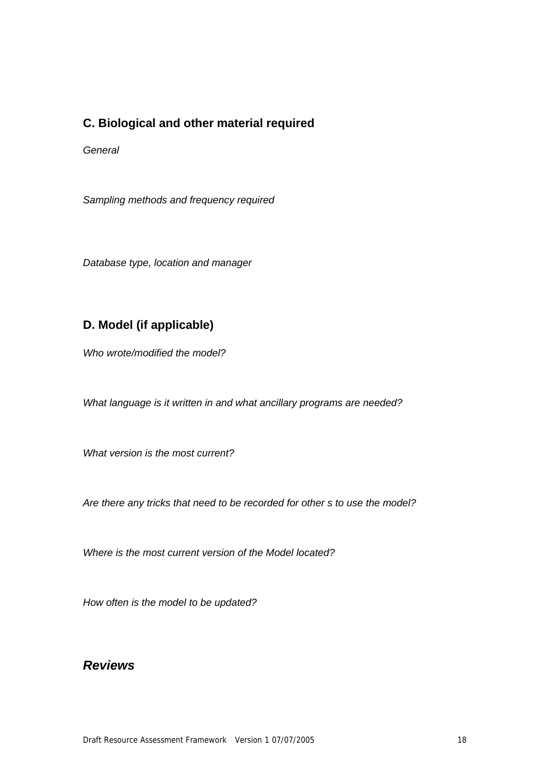### **C. Biological and other material required**

*General* 

*Sampling methods and frequency required* 

*Database type, location and manager* 

### **D. Model (if applicable)**

*Who wrote/modified the model?* 

*What language is it written in and what ancillary programs are needed?* 

*What version is the most current?* 

*Are there any tricks that need to be recorded for other s to use the model?* 

*Where is the most current version of the Model located?* 

*How often is the model to be updated?* 

## *Reviews*